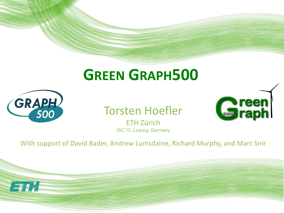#### **GREEN GRAPH500**



Torsten Hoefler

**Coreen** 

ETH Zürich ISC'13, Leipzig, Germany

With support of David Bader, Andrew Lumsdaine, Richard Murphy, and Marc Snir

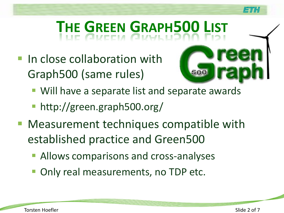### **THE GREEN GRAPH500 LIST**

- **In close collaboration with** Graph500 (same rules)
	- Will have a separate list and separate awards
	- http://green.graph500.org/
- **Measurement techniques compatible with** established practice and Green500
	- **Allows comparisons and cross-analyses**
	- Only real measurements, no TDP etc.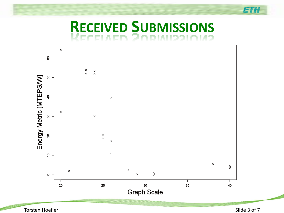#### **RECEIVED SUBMISSIONS**



Torsten Hoefler Slide 3 of 7

魔事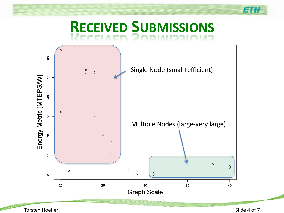#### **RECEIVED SUBMISSIONS**

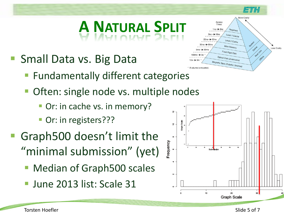# **A NATURAL SPLIT**

- **Small Data vs. Big Data** 
	- **Fundamentally different categories**
	- **Often: single node vs. multiple nodes** 
		- **Or: in cache vs. in memory?**
		- Or: in registers???
- Graph500 doesn't limit the "minimal submission" (yet)
	- Median of Graph500 scales
	- **June 2013 list: Scale 31**





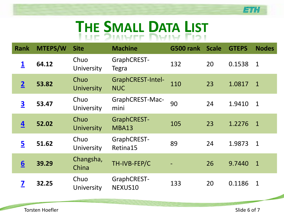#### **THE SMALL DATA LIST**

| <b>Rank</b>             | <b>MTEPS/W</b> | <b>Site</b>               | <b>Machine</b>                         | <b>G500 rank Scale</b> |    | <b>GTEPS</b> | <b>Nodes</b>   |
|-------------------------|----------------|---------------------------|----------------------------------------|------------------------|----|--------------|----------------|
| $\overline{\mathbf{1}}$ | 64.12          | Chuo<br>University        | GraphCREST-<br>Tegra                   | 132                    | 20 | 0.1538       | $\overline{1}$ |
| $\overline{\mathbf{2}}$ | 53.82          | Chuo<br><b>University</b> | <b>GraphCREST-Intel-</b><br><b>NUC</b> | 110                    | 23 | 1.0817       | $\overline{1}$ |
| $\overline{\mathbf{3}}$ | 53.47          | Chuo<br>University        | GraphCREST-Mac-<br>mini                | 90                     | 24 | 1.9410       | $\mathbf{1}$   |
| 4                       | 52.02          | Chuo<br><b>University</b> | <b>GraphCREST-</b><br>MBA13            | 105                    | 23 | 1.2276       | $\overline{1}$ |
| 5                       | 51.62          | Chuo<br>University        | GraphCREST-<br>Retina15                | 89                     | 24 | 1.9873       | $\mathbf{1}$   |
| $6\overline{6}$         | 39.29          | Changsha,<br>China        | TH-IVB-FEP/C                           |                        | 26 | 9.7440       | $\mathbf{1}$   |
| 7                       | 32.25          | Chuo<br>University        | GraphCREST-<br>NEXUS10                 | 133                    | 20 | 0.1186       | $\mathbf{1}$   |

**Konsta**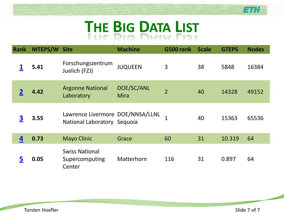### **THE BIG DATA LIST**

| Rank     | <b>MTEPS/W Site</b> |                                                                 | <b>Machine</b>     | G500 rank      | <b>Scale</b> | <b>GTEPS</b> | <b>Nodes</b> |
|----------|---------------------|-----------------------------------------------------------------|--------------------|----------------|--------------|--------------|--------------|
|          | 5.41                | Forschungszentrum<br>Juelich (FZJ)                              | <b>JUQUEEN</b>     | 3              | 38           | 5848         | 16384        |
|          | 4.42                | <b>Argonne National</b><br>Laboratory                           | DOE/SC/ANL<br>Mira | $\overline{2}$ | 40           | 14328        | 49152        |
| <u>3</u> | 3.55                | Lawrence Livermore DOE/NNSA/LLNL<br>National Laboratory Sequoia |                    |                | 40           | 15363        | 65536        |
| 4        | 0.73                | <b>Mayo Clinic</b>                                              | Grace              | 60             | 31           | 10.319       | 64           |
| <u>5</u> | 0.05                | <b>Swiss National</b><br>Supercomputing<br>Center               | Matterhorn         | 116            | 31           | 0.897        | 64           |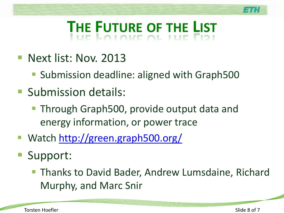## **THE FUTURE OF THE LIST**

- **Next list: Nov. 2013** 
	- Submission deadline: aligned with Graph500
- **Submission details:** 
	- **Through Graph500, provide output data and** energy information, or power trace
- Watch<http://green.graph500.org/>
- Support:
	- **Thanks to David Bader, Andrew Lumsdaine, Richard** Murphy, and Marc Snir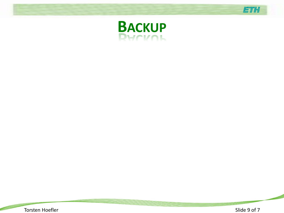



**Box of the**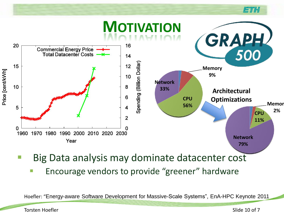

- Big Data analysis may dominate datacenter cost
	- **Encourage vendors to provide "greener" hardware**

Hoefler: "Energy-aware Software Development for Massive-Scale Systems", EnA-HPC Keynote 2011

Torsten Hoefler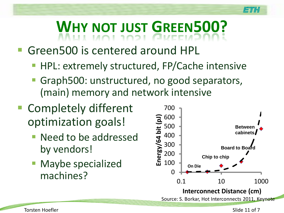# **WHY NOT JUST GREEN500?**

#### Green500 is centered around HPL

- **HPL: extremely structured, FP/Cache intensive**
- Graph500: unstructured, no good separators, (main) memory and network intensive
- Completely different optimization goals!
	- Need to be addressed by vendors!
	- **Maybe specialized** machines?

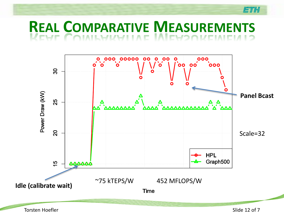#### **REAL COMPARATIVE MEASUREMENTS**